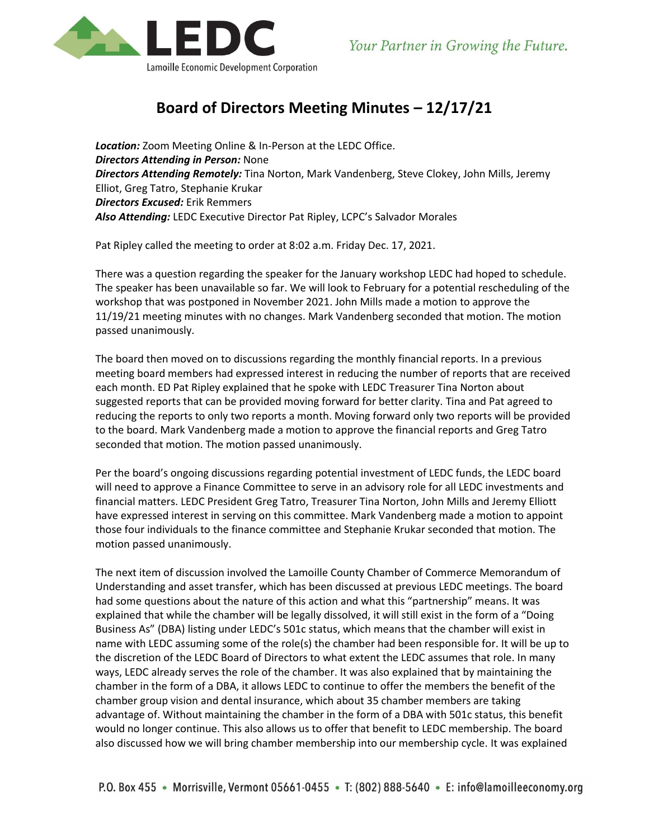

## **Board of Directors Meeting Minutes – 12/17/21**

*Location:* Zoom Meeting Online & In-Person at the LEDC Office. *Directors Attending in Person:* None *Directors Attending Remotely:* Tina Norton, Mark Vandenberg, Steve Clokey, John Mills, Jeremy Elliot, Greg Tatro, Stephanie Krukar *Directors Excused:* Erik Remmers *Also Attending:* LEDC Executive Director Pat Ripley, LCPC's Salvador Morales

Pat Ripley called the meeting to order at 8:02 a.m. Friday Dec. 17, 2021.

There was a question regarding the speaker for the January workshop LEDC had hoped to schedule. The speaker has been unavailable so far. We will look to February for a potential rescheduling of the workshop that was postponed in November 2021. John Mills made a motion to approve the 11/19/21 meeting minutes with no changes. Mark Vandenberg seconded that motion. The motion passed unanimously.

The board then moved on to discussions regarding the monthly financial reports. In a previous meeting board members had expressed interest in reducing the number of reports that are received each month. ED Pat Ripley explained that he spoke with LEDC Treasurer Tina Norton about suggested reports that can be provided moving forward for better clarity. Tina and Pat agreed to reducing the reports to only two reports a month. Moving forward only two reports will be provided to the board. Mark Vandenberg made a motion to approve the financial reports and Greg Tatro seconded that motion. The motion passed unanimously.

Per the board's ongoing discussions regarding potential investment of LEDC funds, the LEDC board will need to approve a Finance Committee to serve in an advisory role for all LEDC investments and financial matters. LEDC President Greg Tatro, Treasurer Tina Norton, John Mills and Jeremy Elliott have expressed interest in serving on this committee. Mark Vandenberg made a motion to appoint those four individuals to the finance committee and Stephanie Krukar seconded that motion. The motion passed unanimously.

The next item of discussion involved the Lamoille County Chamber of Commerce Memorandum of Understanding and asset transfer, which has been discussed at previous LEDC meetings. The board had some questions about the nature of this action and what this "partnership" means. It was explained that while the chamber will be legally dissolved, it will still exist in the form of a "Doing Business As" (DBA) listing under LEDC's 501c status, which means that the chamber will exist in name with LEDC assuming some of the role(s) the chamber had been responsible for. It will be up to the discretion of the LEDC Board of Directors to what extent the LEDC assumes that role. In many ways, LEDC already serves the role of the chamber. It was also explained that by maintaining the chamber in the form of a DBA, it allows LEDC to continue to offer the members the benefit of the chamber group vision and dental insurance, which about 35 chamber members are taking advantage of. Without maintaining the chamber in the form of a DBA with 501c status, this benefit would no longer continue. This also allows us to offer that benefit to LEDC membership. The board also discussed how we will bring chamber membership into our membership cycle. It was explained